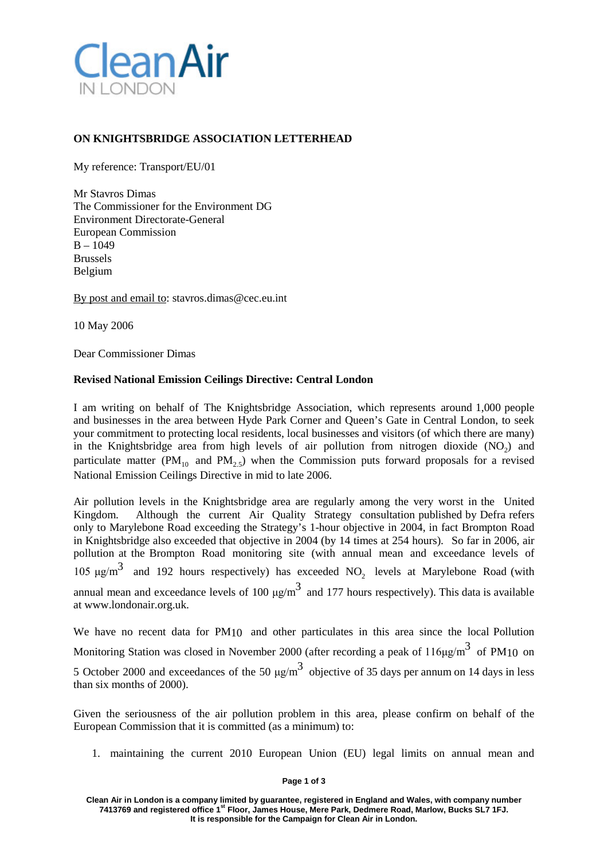

## **ON KNIGHTSBRIDGE ASSOCIATION LETTERHEAD**

My reference: Transport/EU/01

Mr Stavros Dimas The Commissioner for the Environment DG Environment Directorate-General European Commission  $B - 1049$ Brussels Belgium

By post and email t[o: stavros.dimas@cec.eu.int](mailto:stavros.dimas@cec.eu.int)

10 May 2006

Dear Commissioner Dimas

## **Revised National Emission Ceilings Directive: Central London**

I am writing on behalf of The Knightsbridge Association, which represents around 1,000 people and businesses in the area between Hyde Park Corner and Queen's Gate in Central London, to seek your commitment to protecting local residents, local businesses and visitors (of which there are many) in the Knightsbridge area from high levels of air pollution from nitrogen dioxide  $(NO<sub>2</sub>)$  and particulate matter (PM<sub>10</sub> and PM<sub>2.5</sub>) when the Commission puts forward proposals for a revised National Emission Ceilings Directive in mid to late 2006.

Air pollution levels in the Knightsbridge area are regularly among the very worst in the United Kingdom. Although the current Air Quality Strategy consultation published by Defra refers only to Marylebone Road exceeding the Strategy's 1-hour objective in 2004, in fact Brompton Road in Knightsbridge also exceeded that objective in 2004 (by 14 times at 254 hours). So far in 2006, air pollution at the Brompton Road monitoring site (with annual mean and exceedance levels of 105  $\mu$ g/m<sup>3</sup> and 192 hours respectively) has exceeded NO<sub>2</sub> levels at Marylebone Road (with annual mean and exceedance levels of 100  $\mu$ g/m<sup>3</sup> and 177 hours respectively). This data is available at [www.londonair.org.uk.](http://www.londonair.org.uk/)

We have no recent data for PM<sub>10</sub> and other particulates in this area since the local Pollution Monitoring Station was closed in November 2000 (after recording a peak of  $116 \mu\text{g/m}^3$  of PM10 on 5 October 2000 and exceedances of the 50  $\mu$ g/m<sup>3</sup> objective of 35 days per annum on 14 days in less than six months of 2000).

Given the seriousness of the air pollution problem in this area, please confirm on behalf of the European Commission that it is committed (as a minimum) to:

1. maintaining the current 2010 European Union (EU) legal limits on annual mean and

**Page 1 of 3**

**Clean Air in London is a company limited by guarantee, registered in England and Wales, with company number 7413769 and registered office 1st Floor, James House, Mere Park, Dedmere Road, Marlow, Bucks SL7 1FJ. It is responsible for the Campaign for Clean Air in London.**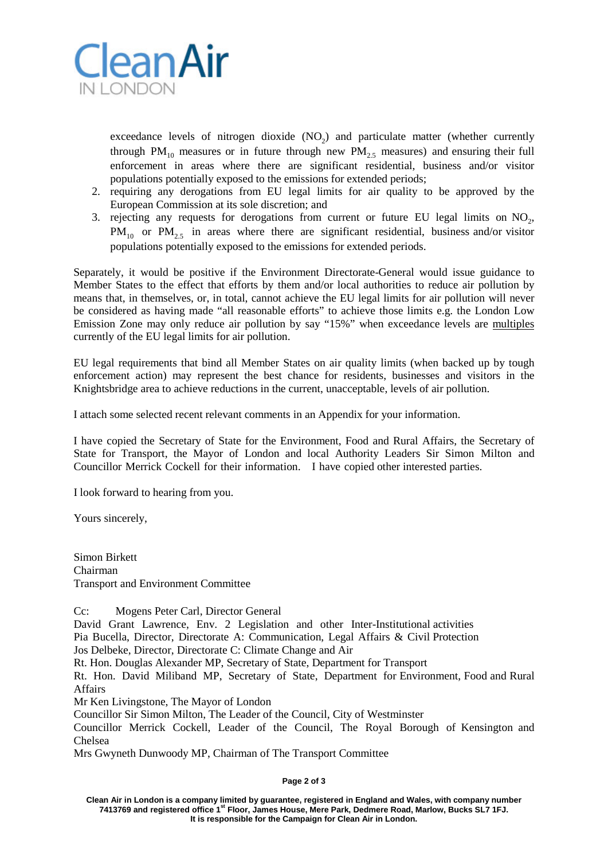

exceedance levels of nitrogen dioxide  $(NO<sub>2</sub>)$  and particulate matter (whether currently through PM<sub>10</sub> measures or in future through new PM<sub>2.5</sub> measures) and ensuring their full enforcement in areas where there are significant residential, business and/or visitor populations potentially exposed to the emissions for extended periods;

- 2. requiring any derogations from EU legal limits for air quality to be approved by the European Commission at its sole discretion; and
- 3. rejecting any requests for derogations from current or future EU legal limits on  $NO<sub>2</sub>$ ,  $PM_{10}$  or  $PM_{25}$  in areas where there are significant residential, business and/or visitor populations potentially exposed to the emissions for extended periods.

Separately, it would be positive if the Environment Directorate-General would issue guidance to Member States to the effect that efforts by them and/or local authorities to reduce air pollution by means that, in themselves, or, in total, cannot achieve the EU legal limits for air pollution will never be considered as having made "all reasonable efforts" to achieve those limits e.g. the London Low Emission Zone may only reduce air pollution by say "15%" when exceedance levels are multiples currently of the EU legal limits for air pollution.

EU legal requirements that bind all Member States on air quality limits (when backed up by tough enforcement action) may represent the best chance for residents, businesses and visitors in the Knightsbridge area to achieve reductions in the current, unacceptable, levels of air pollution.

I attach some selected recent relevant comments in an Appendix for your information.

I have copied the Secretary of State for the Environment, Food and Rural Affairs, the Secretary of State for Transport, the Mayor of London and local Authority Leaders Sir Simon Milton and Councillor Merrick Cockell for their information. I have copied other interested parties.

I look forward to hearing from you.

Yours sincerely,

Simon Birkett Chairman Transport and Environment Committee

Cc: Mogens Peter Carl, Director General David Grant Lawrence, Env. 2 Legislation and other Inter-Institutional activities Pia Bucella, Director, Directorate A: Communication, Legal Affairs & Civil Protection Jos Delbeke, Director, Directorate C: Climate Change and Air Rt. Hon. Douglas Alexander MP, Secretary of State, Department for Transport

Rt. Hon. David Miliband MP, Secretary of State, Department for Environment, Food and Rural Affairs

Mr Ken Livingstone, The Mayor of London

Councillor Sir Simon Milton, The Leader of the Council, City of Westminster

Councillor Merrick Cockell, Leader of the Council, The Royal Borough of Kensington and Chelsea

Mrs Gwyneth Dunwoody MP, Chairman of The Transport Committee

**Page 2 of 3**

**Clean Air in London is a company limited by guarantee, registered in England and Wales, with company number 7413769 and registered office 1st Floor, James House, Mere Park, Dedmere Road, Marlow, Bucks SL7 1FJ. It is responsible for the Campaign for Clean Air in London.**